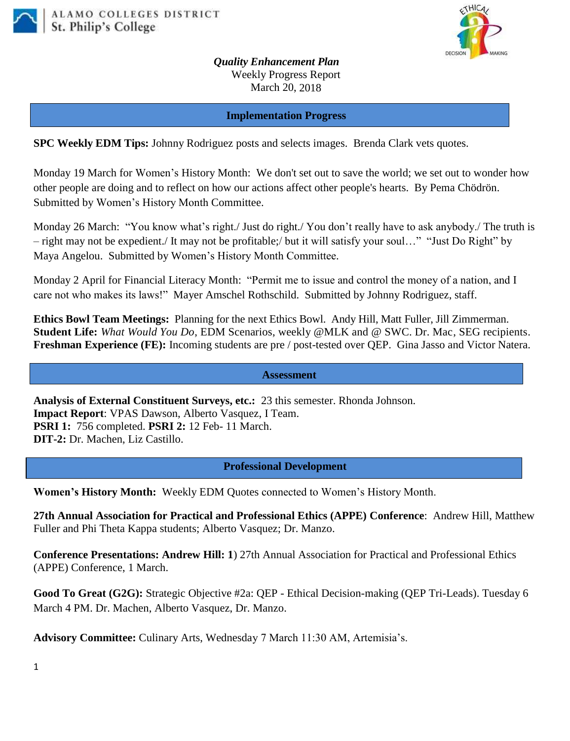



*Quality Enhancement Plan* Weekly Progress Report March 20, 2018

**Implementation Progress**

**SPC Weekly EDM Tips:** Johnny Rodriguez posts and selects images. Brenda Clark vets quotes.

Monday 19 March for Women's History Month: We don't set out to save the world; we set out to wonder how other people are doing and to reflect on how our actions affect other people's hearts. By Pema Chödrön. Submitted by Women's History Month Committee.

Monday 26 March: "You know what's right./ Just do right./ You don't really have to ask anybody./ The truth is – right may not be expedient./ It may not be profitable;/ but it will satisfy your soul…" "Just Do Right" by Maya Angelou. Submitted by Women's History Month Committee.

Monday 2 April for Financial Literacy Month: "Permit me to issue and control the money of a nation, and I care not who makes its laws!" Mayer Amschel Rothschild. Submitted by Johnny Rodriguez, staff.

**Ethics Bowl Team Meetings:** Planning for the next Ethics Bowl.Andy Hill, Matt Fuller, Jill Zimmerman. **Student Life:** *What Would You Do*, EDM Scenarios, weekly @MLK and @ SWC. Dr. Mac, SEG recipients. **Freshman Experience (FE):** Incoming students are pre / post-tested over QEP. Gina Jasso and Victor Natera.

**Assessment**

**Analysis of External Constituent Surveys, etc.:** 23 this semester. Rhonda Johnson. **Impact Report**: VPAS Dawson, Alberto Vasquez, I Team. **PSRI 1:** 756 completed. **PSRI 2:** 12 Feb- 11 March. **DIT-2:** Dr. Machen, Liz Castillo.

**Professional Development**

**Women's History Month:** Weekly EDM Quotes connected to Women's History Month.

**27th Annual Association for Practical and Professional Ethics (APPE) Conference**: Andrew Hill, Matthew Fuller and Phi Theta Kappa students; Alberto Vasquez; Dr. Manzo.

**Conference Presentations: Andrew Hill: 1**) 27th Annual Association for Practical and Professional Ethics (APPE) Conference, 1 March.

**Good To Great (G2G):** Strategic Objective #2a: QEP - Ethical Decision-making (QEP Tri-Leads). Tuesday 6 March 4 PM. Dr. Machen, Alberto Vasquez, Dr. Manzo.

**Advisory Committee:** Culinary Arts, Wednesday 7 March 11:30 AM, Artemisia's.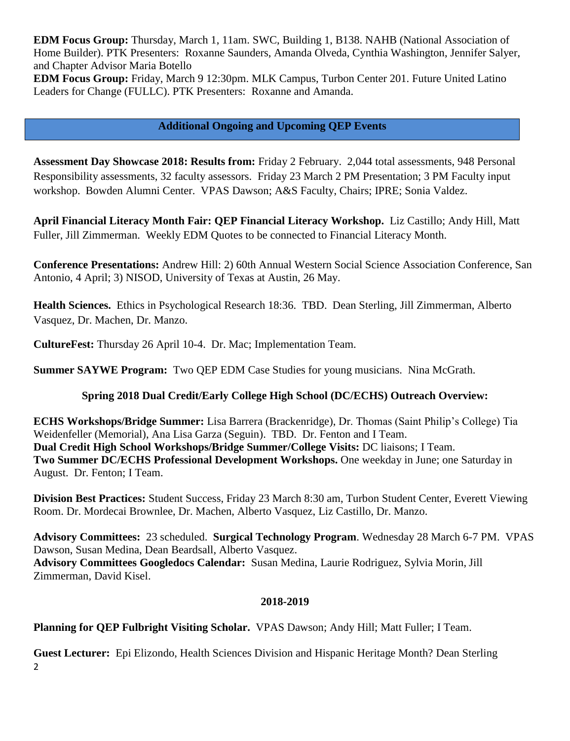**EDM Focus Group:** Thursday, March 1, 11am. SWC, Building 1, B138. NAHB (National Association of Home Builder). PTK Presenters: Roxanne Saunders, Amanda Olveda, Cynthia Washington, Jennifer Salyer, and Chapter Advisor Maria Botello

**EDM Focus Group:** Friday, March 9 12:30pm. MLK Campus, Turbon Center 201. Future United Latino Leaders for Change (FULLC). PTK Presenters: Roxanne and Amanda.

## **Additional Ongoing and Upcoming QEP Events**

**Assessment Day Showcase 2018: Results from:** Friday 2 February. 2,044 total assessments, 948 Personal Responsibility assessments, 32 faculty assessors. Friday 23 March 2 PM Presentation; 3 PM Faculty input workshop. Bowden Alumni Center. VPAS Dawson; A&S Faculty, Chairs; IPRE; Sonia Valdez.

**April Financial Literacy Month Fair: QEP Financial Literacy Workshop.** Liz Castillo; Andy Hill, Matt Fuller, Jill Zimmerman. Weekly EDM Quotes to be connected to Financial Literacy Month.

**Conference Presentations:** Andrew Hill: 2) 60th Annual Western Social Science Association Conference, San Antonio, 4 April; 3) NISOD, University of Texas at Austin, 26 May.

**Health Sciences.** Ethics in Psychological Research 18:36. TBD. Dean Sterling, Jill Zimmerman, Alberto Vasquez, Dr. Machen, Dr. Manzo.

**CultureFest:** Thursday 26 April 10-4. Dr. Mac; Implementation Team.

**Summer SAYWE Program:** Two QEP EDM Case Studies for young musicians. Nina McGrath.

## **Spring 2018 Dual Credit/Early College High School (DC/ECHS) Outreach Overview:**

**ECHS Workshops/Bridge Summer:** Lisa Barrera (Brackenridge), Dr. Thomas (Saint Philip's College) Tia Weidenfeller (Memorial), Ana Lisa Garza (Seguin). TBD. Dr. Fenton and I Team. **Dual Credit High School Workshops/Bridge Summer/College Visits:** DC liaisons; I Team. **Two Summer DC/ECHS Professional Development Workshops.** One weekday in June; one Saturday in August. Dr. Fenton; I Team.

**Division Best Practices:** Student Success, Friday 23 March 8:30 am, Turbon Student Center, Everett Viewing Room. Dr. Mordecai Brownlee, Dr. Machen, Alberto Vasquez, Liz Castillo, Dr. Manzo.

**Advisory Committees:** 23 scheduled. **Surgical Technology Program**. Wednesday 28 March 6-7 PM. VPAS Dawson, Susan Medina, Dean Beardsall, Alberto Vasquez. **Advisory Committees Googledocs Calendar:** Susan Medina, Laurie Rodriguez, Sylvia Morin, Jill Zimmerman, David Kisel.

## **2018-2019**

**Planning for QEP Fulbright Visiting Scholar.** VPAS Dawson; Andy Hill; Matt Fuller; I Team.

2 **Guest Lecturer:** Epi Elizondo, Health Sciences Division and Hispanic Heritage Month? Dean Sterling